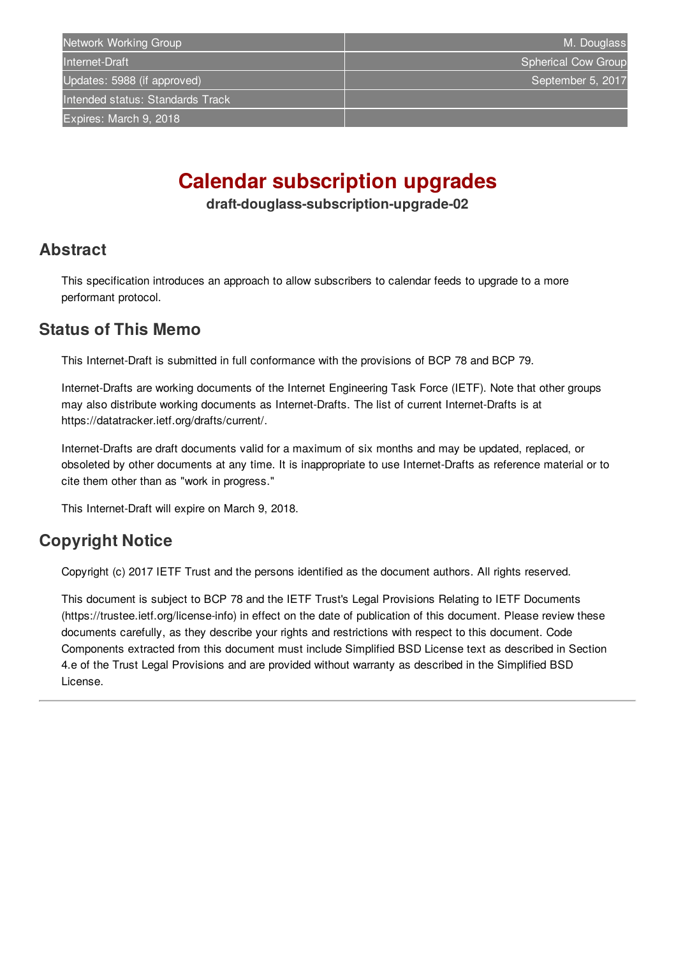# **Calendar subscription upgrades**

**draft-douglass-subscription-upgrade-02**

### <span id="page-0-0"></span>**[Abstract](#page-0-0)**

This specification introduces an approach to allow subscribers to calendar feeds to upgrade to a more performant protocol.

## <span id="page-0-1"></span>**[Status](#page-0-1) of This Memo**

This Internet-Draft is submitted in full conformance with the provisions of BCP 78 and BCP 79.

Internet-Drafts are working documents of the Internet Engineering Task Force (IETF). Note that other groups may also distribute working documents as Internet-Drafts. The list of current Internet-Drafts is at https://datatracker.ietf.org/drafts/current/.

Internet-Drafts are draft documents valid for a maximum of six months and may be updated, replaced, or obsoleted by other documents at any time. It is inappropriate to use Internet-Drafts as reference material or to cite them other than as "work in progress."

This Internet-Draft will expire on March 9, 2018.

# <span id="page-0-2"></span>**[Copyright](#page-0-2) Notice**

Copyright (c) 2017 IETF Trust and the persons identified as the document authors. All rights reserved.

This document is subject to BCP 78 and the IETF Trust's Legal Provisions Relating to IETF Documents (https://trustee.ietf.org/license-info) in effect on the date of publication of this document. Please review these documents carefully, as they describe your rights and restrictions with respect to this document. Code Components extracted from this document must include Simplified BSD License text as described in Section 4.e of the Trust Legal Provisions and are provided without warranty as described in the Simplified BSD License.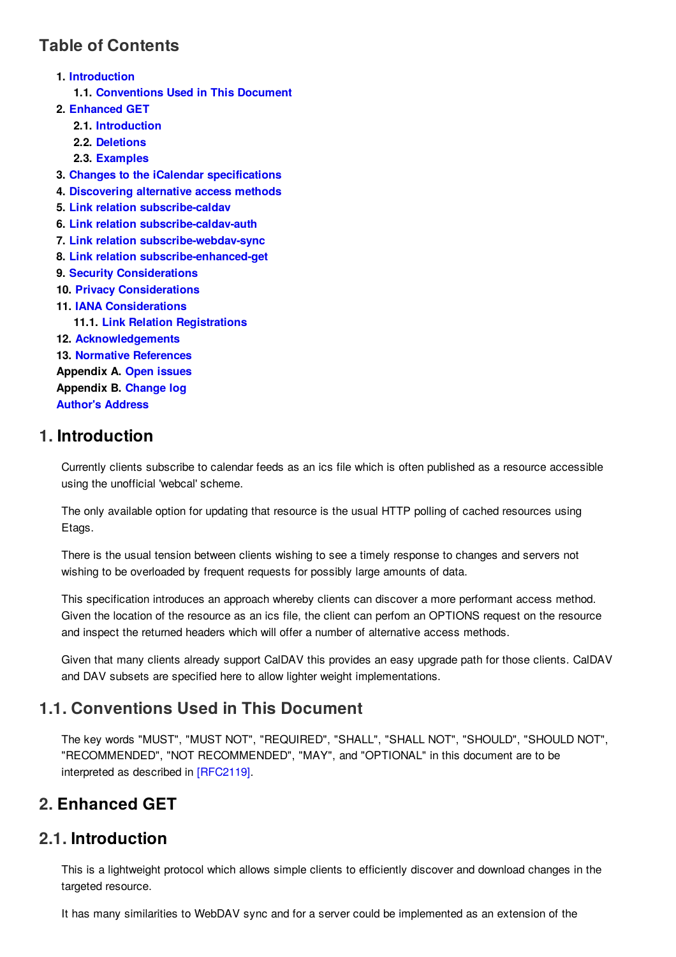# <span id="page-1-0"></span>**Table of [Contents](#page-1-0)**

**1. [Introduction](#page-1-1) 1.1. [Conventions](#page-1-2) Used in This Document 2. [Enhanced](#page-1-3) GET 2.1. [Introduction](#page-1-4) 2.2. [Deletions](#page-2-0) 2.3. [Examples](#page-2-1) 3. Changes to the iCalendar [specifications](#page-4-0) 4. [Discovering](#page-4-1) alternative access methods 5. Link relation [subscribe-caldav](#page-4-2) 6. Link relation [subscribe-caldav-auth](#page-4-3) 7. Link relation [subscribe-webdav-sync](#page-4-4) 8. Link relation [subscribe-enhanced-get](#page-5-0) 9. Security [Considerations](#page-5-1) 10. Privacy [Considerations](#page-5-2) 11. IANA [Considerations](#page-5-3) 11.1. Link Relation [Registrations](#page-5-4) 12. [Acknowledgements](#page-5-5) 13. Normative [References](#page-5-6) Appendix A. Open [issues](#page-6-0) Appendix B. [Change](#page-6-1) log [Author's](#page-6-2) Address**

# <span id="page-1-1"></span>**[1.](#page-1-1) Introduction**

Currently clients subscribe to calendar feeds as an ics file which is often published as a resource accessible using the unofficial 'webcal' scheme.

The only available option for updating that resource is the usual HTTP polling of cached resources using Etags.

There is the usual tension between clients wishing to see a timely response to changes and servers not wishing to be overloaded by frequent requests for possibly large amounts of data.

This specification introduces an approach whereby clients can discover a more performant access method. Given the location of the resource as an ics file, the client can perfom an OPTIONS request on the resource and inspect the returned headers which will offer a number of alternative access methods.

Given that many clients already support CalDAV this provides an easy upgrade path for those clients. CalDAV and DAV subsets are specified here to allow lighter weight implementations.

# <span id="page-1-5"></span><span id="page-1-2"></span>**[1.1.](#page-1-2) [Conventions](#page-1-5) Used in This Document**

The key words "MUST", "MUST NOT", "REQUIRED", "SHALL", "SHALL NOT", "SHOULD", "SHOULD NOT", "RECOMMENDED", "NOT RECOMMENDED", "MAY", and "OPTIONAL" in this document are to be interpreted as described in [\[RFC2119\]](#page-6-3).

# <span id="page-1-3"></span>**[2.](#page-1-3) Enhanced GET**

## <span id="page-1-4"></span>**[2.1.](#page-1-4) Introduction**

This is a lightweight protocol which allows simple clients to efficiently discover and download changes in the targeted resource.

It has many similarities to WebDAV sync and for a server could be implemented as an extension of the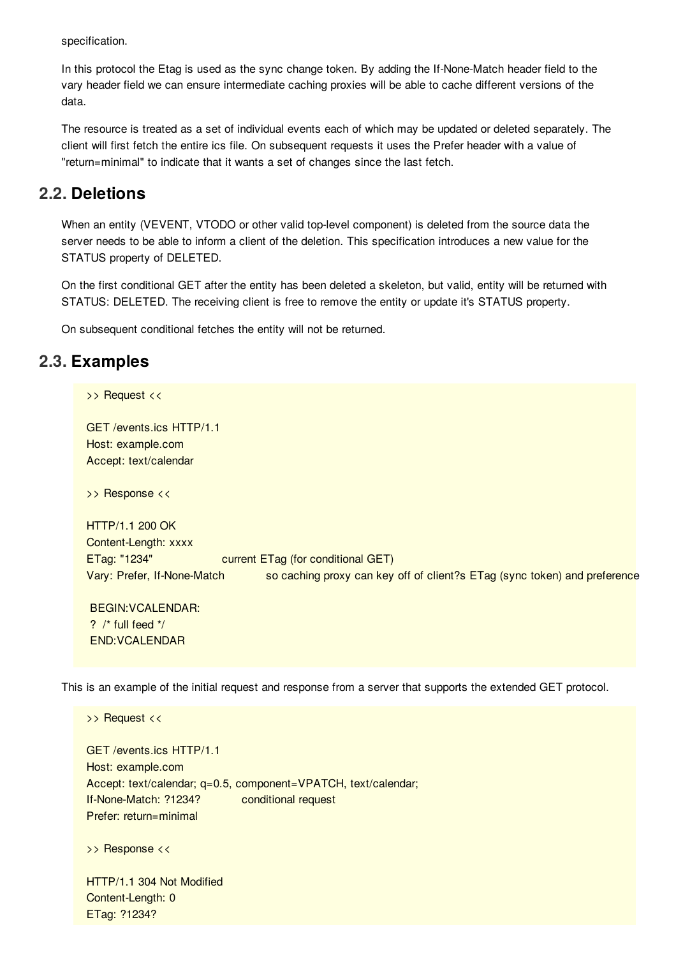specification.

In this protocol the Etag is used as the sync change token. By adding the If-None-Match header field to the vary header field we can ensure intermediate caching proxies will be able to cache different versions of the data.

The resource is treated as a set of individual events each of which may be updated or deleted separately. The client will first fetch the entire ics file. On subsequent requests it uses the Prefer header with a value of "return=minimal" to indicate that it wants a set of changes since the last fetch.

### <span id="page-2-0"></span>**[2.2.](#page-2-0) Deletions**

When an entity (VEVENT, VTODO or other valid top-level component) is deleted from the source data the server needs to be able to inform a client of the deletion. This specification introduces a new value for the STATUS property of DELETED.

On the first conditional GET after the entity has been deleted a skeleton, but valid, entity will be returned with STATUS: DELETED. The receiving client is free to remove the entity or update it's STATUS property.

On subsequent conditional fetches the entity will not be returned.

## <span id="page-2-1"></span>**[2.3.](#page-2-1) Examples**

END:VCALENDAR

>> Request << GET /events.ics HTTP/1.1 Host: example.com Accept: text/calendar >> Response << HTTP/1.1 200 OK Content-Length: xxxx ETag: "1234" current ETag (for conditional GET) Vary: Prefer, If-None-Match so caching proxy can key off of client?s ETag (sync token) and preference BEGIN:VCALENDAR: ?  $/*$  full feed  $*/$ 

This is an example of the initial request and response from a server that supports the extended GET protocol.

>> Request << GET /events.ics HTTP/1.1 Host: example.com Accept: text/calendar; q=0.5, component=VPATCH, text/calendar; If-None-Match: ?1234? conditional request Prefer: return=minimal >> Response << HTTP/1.1 304 Not Modified Content-Length: 0 ETag: ?1234?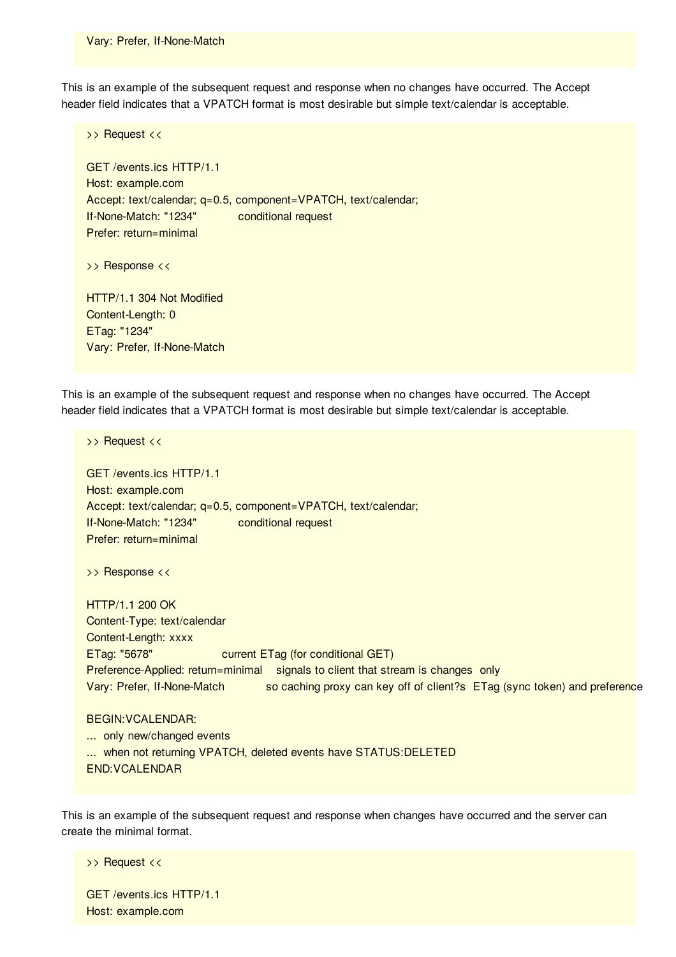This is an example of the subsequent request and response when no changes have occurred. The Accept header field indicates that a VPATCH format is most desirable but simple text/calendar is acceptable.

>> Request << GET /events.ics HTTP/1.1 Host: example.com Accept: text/calendar; q=0.5, component=VPATCH, text/calendar; If-None-Match: "1234" conditional request Prefer: return=minimal >> Response << HTTP/1.1 304 Not Modified Content-Length: 0 ETag: "1234" Vary: Prefer, If-None-Match

This is an example of the subsequent request and response when no changes have occurred. The Accept header field indicates that a VPATCH format is most desirable but simple text/calendar is acceptable.

>> Request << GET /events.ics HTTP/1.1 Host: example.com Accept: text/calendar; q=0.5, component=VPATCH, text/calendar; If-None-Match: "1234" conditional request Prefer: return=minimal >> Response << HTTP/1.1 200 OK Content-Type: text/calendar Content-Length: xxxx ETag: "5678" current ETag (for conditional GET) Preference-Applied: return=minimal signals to client that stream is changes only Vary: Prefer, If-None-Match so caching proxy can key off of client?s ETag (sync token) and preference BEGIN:VCALENDAR: ... only new/changed events ... when not returning VPATCH, deleted events have STATUS:DELETED END:VCALENDAR

This is an example of the subsequent request and response when changes have occurred and the server can create the minimal format.

>> Request <<

GET /events.ics HTTP/1.1 Host: example.com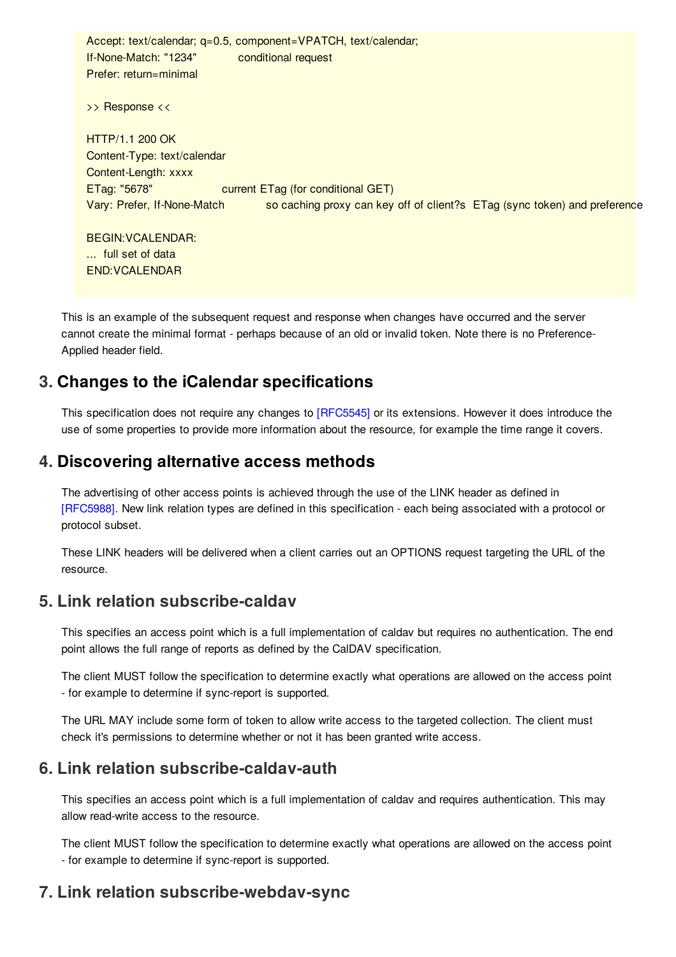Accept: text/calendar; q=0.5, component=VPATCH, text/calendar; If-None-Match: "1234" conditional request Prefer: return=minimal

>> Response <<

HTTP/1.1 200 OK Content-Type: text/calendar Content-Length: xxxx ETag: "5678" current ETag (for conditional GET) Vary: Prefer, If-None-Match so caching proxy can key off of client?s ETag (sync token) and preference

BEGIN:VCALENDAR: ... full set of data END:VCALENDAR

This is an example of the subsequent request and response when changes have occurred and the server cannot create the minimal format - perhaps because of an old or invalid token. Note there is no Preference-Applied header field.

## <span id="page-4-0"></span>**[3.](#page-4-0) Changes to the iCalendar specifications**

This specification does not require any changes to [\[RFC5545\]](#page-6-4) or its extensions. However it does introduce the use of some properties to provide more information about the resource, for example the time range it covers.

### <span id="page-4-1"></span>**[4.](#page-4-1) Discovering alternative access methods**

The advertising of other access points is achieved through the use of the LINK header as defined in [\[RFC5988\]](#page-6-5). New link relation types are defined in this specification - each being associated with a protocol or protocol subset.

These LINK headers will be delivered when a client carries out an OPTIONS request targeting the URL of the resource.

## <span id="page-4-5"></span><span id="page-4-2"></span>**[5.](#page-4-2) Link relation [subscribe-caldav](#page-4-5)**

This specifies an access point which is a full implementation of caldav but requires no authentication. The end point allows the full range of reports as defined by the CalDAV specification.

The client MUST follow the specification to determine exactly what operations are allowed on the access point - for example to determine if sync-report is supported.

The URL MAY include some form of token to allow write access to the targeted collection. The client must check it's permissions to determine whether or not it has been granted write access.

## <span id="page-4-6"></span><span id="page-4-3"></span>**[6.](#page-4-3) Link relation [subscribe-caldav-auth](#page-4-6)**

This specifies an access point which is a full implementation of caldav and requires authentication. This may allow read-write access to the resource.

The client MUST follow the specification to determine exactly what operations are allowed on the access point - for example to determine if sync-report is supported.

# <span id="page-4-7"></span><span id="page-4-4"></span>**[7.](#page-4-4) Link relation [subscribe-webdav-sync](#page-4-7)**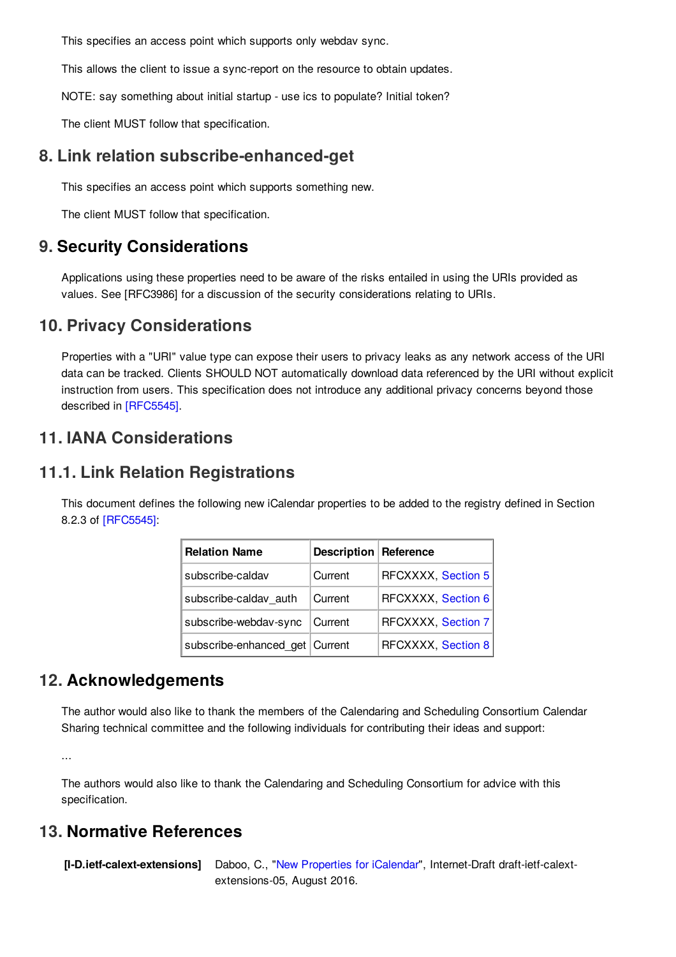This specifies an access point which supports only webdav sync.

This allows the client to issue a sync-report on the resource to obtain updates.

NOTE: say something about initial startup - use ics to populate? Initial token?

The client MUST follow that specification.

#### <span id="page-5-7"></span><span id="page-5-0"></span>**[8.](#page-5-0) Link relation [subscribe-enhanced-get](#page-5-7)**

This specifies an access point which supports something new.

The client MUST follow that specification.

#### <span id="page-5-1"></span>**[9.](#page-5-1) Security Considerations**

Applications using these properties need to be aware of the risks entailed in using the URIs provided as values. See [RFC3986] for a discussion of the security considerations relating to URIs.

#### <span id="page-5-8"></span><span id="page-5-2"></span>**[10.](#page-5-2) Privacy [Considerations](#page-5-8)**

Properties with a "URI" value type can expose their users to privacy leaks as any network access of the URI data can be tracked. Clients SHOULD NOT automatically download data referenced by the URI without explicit instruction from users. This specification does not introduce any additional privacy concerns beyond those described in [\[RFC5545\]](#page-6-4).

#### <span id="page-5-9"></span><span id="page-5-3"></span>**[11.](#page-5-3) IANA [Considerations](#page-5-9)**

#### <span id="page-5-10"></span><span id="page-5-4"></span>**[11.1.](#page-5-4) Link Relation [Registrations](#page-5-10)**

This document defines the following new iCalendar properties to be added to the registry defined in Section 8.2.3 of [\[RFC5545\]](#page-6-4):

| <b>Relation Name</b>             | <b>Description Reference</b> |                    |
|----------------------------------|------------------------------|--------------------|
| subscribe-caldav                 | Current                      | RFCXXXX, Section 5 |
| subscribe-caldav auth            | Current                      | RFCXXXX, Section 6 |
| subscribe-webdav-sync            | Current                      | RFCXXXX, Section 7 |
| subscribe-enhanced_get   Current |                              | RFCXXXX, Section 8 |

#### <span id="page-5-5"></span>**[12.](#page-5-5) Acknowledgements**

The author would also like to thank the members of the Calendaring and Scheduling Consortium Calendar Sharing technical committee and the following individuals for contributing their ideas and support:

...

The authors would also like to thank the Calendaring and Scheduling Consortium for advice with this specification.

#### <span id="page-5-6"></span>**[13.](#page-5-6) Normative References**

**[I-D.ietf-calext-extensions]** Daboo, C., "New [Properties](https://tools.ietf.org/html/draft-ietf-calext-extensions-05) for iCalendar", Internet-Draft draft-ietf-calextextensions-05, August 2016.